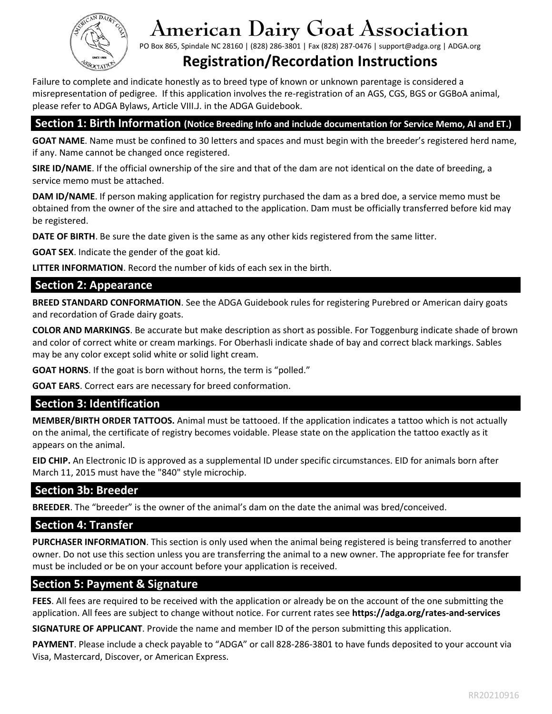

# **American Dairy Goat Association**

PO Box 865, Spindale NC 28160 | (828) 286-3801 | Fax (828) 287-0476 | support@adga.org | ADGA.org

# **Registration/Recordation Instructions**

Failure to complete and indicate honestly as to breed type of known or unknown parentage is considered a misrepresentation of pedigree. If this application involves the re-registration of an AGS, CGS, BGS or GGBoA animal, please refer to ADGA Bylaws, Article VIII.J. in the ADGA Guidebook.

#### **Section 1: Birth Information (Notice Breeding Info and include documentation for Service Memo, AI and ET.)**

**GOAT NAME**. Name must be confined to 30 letters and spaces and must begin with the breeder's registered herd name, if any. Name cannot be changed once registered.

**SIRE ID/NAME**. If the official ownership of the sire and that of the dam are not identical on the date of breeding, a service memo must be attached.

**DAM ID/NAME**. If person making application for registry purchased the dam as a bred doe, a service memo must be obtained from the owner of the sire and attached to the application. Dam must be officially transferred before kid may be registered.

**DATE OF BIRTH**. Be sure the date given is the same as any other kids registered from the same litter.

**GOAT SEX**. Indicate the gender of the goat kid.

**LITTER INFORMATION**. Record the number of kids of each sex in the birth.

#### **Section 2: Appearance**

**BREED STANDARD CONFORMATION**. See the ADGA Guidebook rules for registering Purebred or American dairy goats and recordation of Grade dairy goats.

**COLOR AND MARKINGS**. Be accurate but make description as short as possible. For Toggenburg indicate shade of brown and color of correct white or cream markings. For Oberhasli indicate shade of bay and correct black markings. Sables may be any color except solid white or solid light cream.

**GOAT HORNS**. If the goat is born without horns, the term is "polled."

**GOAT EARS**. Correct ears are necessary for breed conformation.

### **Section 3: Identification**

**MEMBER/BIRTH ORDER TATTOOS.** Animal must be tattooed. If the application indicates a tattoo which is not actually on the animal, the certificate of registry becomes voidable. Please state on the application the tattoo exactly as it appears on the animal.

**EID CHIP.** An Electronic ID is approved as a supplemental ID under specific circumstances. EID for animals born after March 11, 2015 must have the "840" style microchip.

### **Section 3b: Breeder**

**BREEDER**. The "breeder" is the owner of the animal's dam on the date the animal was bred/conceived.

#### **Section 4: Transfer**

**PURCHASER INFORMATION**. This section is only used when the animal being registered is being transferred to another owner. Do not use this section unless you are transferring the animal to a new owner. The appropriate fee for transfer must be included or be on your account before your application is received.

#### **Section 5: Payment & Signature**

**FEES**. All fees are required to be received with the application or already be on the account of the one submitting the application. All fees are subject to change without notice. For current rates see **https://adga.org/rates-and-services**

**SIGNATURE OF APPLICANT**. Provide the name and member ID of the person submitting this application.

**PAYMENT**. Please include a check payable to "ADGA" or call 828-286-3801 to have funds deposited to your account via Visa, Mastercard, Discover, or American Express.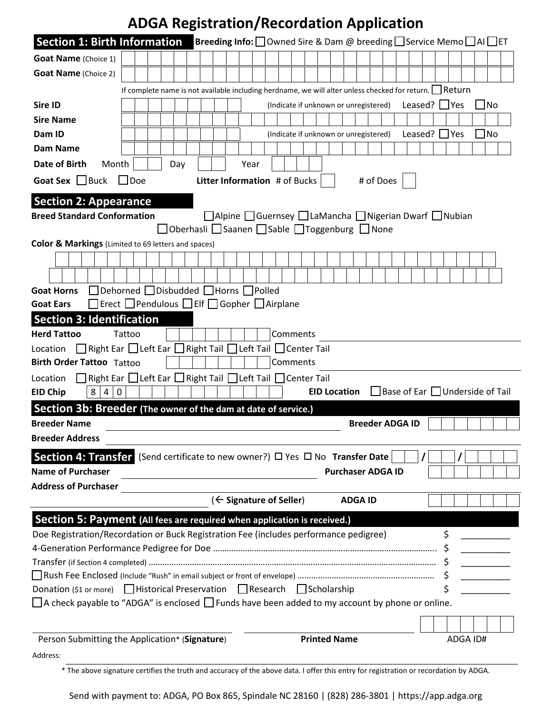# **ADGA Registration/Recordation Application**

| <b>Section 1: Birth Information</b>                                                                         |            |  |  |     |  | <b>Breeding Info:</b> Owned Sire & Dam @ breeding Service Memo $\Box$ AI $\Box$ ET |                         |  |                 |  |          |                                       |                     |  |                          |           |  |  |                    |           |                                             |
|-------------------------------------------------------------------------------------------------------------|------------|--|--|-----|--|------------------------------------------------------------------------------------|-------------------------|--|-----------------|--|----------|---------------------------------------|---------------------|--|--------------------------|-----------|--|--|--------------------|-----------|---------------------------------------------|
| <b>Goat Name</b> (Choice 1)                                                                                 |            |  |  |     |  |                                                                                    |                         |  |                 |  |          |                                       |                     |  |                          |           |  |  |                    |           |                                             |
| <b>Goat Name</b> (Choice 2)                                                                                 |            |  |  |     |  |                                                                                    |                         |  |                 |  |          |                                       |                     |  |                          |           |  |  |                    |           |                                             |
| If complete name is not available including herdname, we will alter unless checked for return. In Return    |            |  |  |     |  |                                                                                    |                         |  |                 |  |          |                                       |                     |  |                          |           |  |  |                    |           |                                             |
| Leased? Yes<br>$\Box$ No<br><b>Sire ID</b><br>(Indicate if unknown or unregistered)                         |            |  |  |     |  |                                                                                    |                         |  |                 |  |          |                                       |                     |  |                          |           |  |  |                    |           |                                             |
|                                                                                                             |            |  |  |     |  |                                                                                    |                         |  |                 |  |          |                                       |                     |  |                          |           |  |  |                    |           |                                             |
| <b>Sire Name</b>                                                                                            |            |  |  |     |  |                                                                                    |                         |  |                 |  |          |                                       |                     |  |                          |           |  |  |                    |           |                                             |
| Dam ID                                                                                                      |            |  |  |     |  |                                                                                    |                         |  |                 |  |          | (Indicate if unknown or unregistered) |                     |  |                          |           |  |  | Leased? $\Box$ Yes | $\Box$ No |                                             |
| <b>Dam Name</b>                                                                                             |            |  |  |     |  |                                                                                    |                         |  |                 |  |          |                                       |                     |  |                          |           |  |  |                    |           |                                             |
| Date of Birth<br>Month                                                                                      |            |  |  | Day |  |                                                                                    |                         |  | Year            |  |          |                                       |                     |  |                          |           |  |  |                    |           |                                             |
| Goat Sex Buck                                                                                               | $\Box$ Doe |  |  |     |  | Litter Information # of Bucks                                                      |                         |  |                 |  |          |                                       |                     |  |                          | # of Does |  |  |                    |           |                                             |
| <b>Section 2: Appearance</b>                                                                                |            |  |  |     |  |                                                                                    |                         |  |                 |  |          |                                       |                     |  |                          |           |  |  |                    |           |                                             |
| <b>Breed Standard Conformation</b>                                                                          |            |  |  |     |  | □ Alpine □ Guernsey □ LaMancha □ Nigerian Dwarf □ Nubian                           |                         |  |                 |  |          |                                       |                     |  |                          |           |  |  |                    |           |                                             |
|                                                                                                             |            |  |  |     |  | □Oberhasli □ Saanen □ Sable □ Toggenburg □ None                                    |                         |  |                 |  |          |                                       |                     |  |                          |           |  |  |                    |           |                                             |
| Color & Markings (Limited to 69 letters and spaces)                                                         |            |  |  |     |  |                                                                                    |                         |  |                 |  |          |                                       |                     |  |                          |           |  |  |                    |           |                                             |
|                                                                                                             |            |  |  |     |  |                                                                                    |                         |  |                 |  |          |                                       |                     |  |                          |           |  |  |                    |           |                                             |
| □ Dehorned □ Disbudded □ Horns □ Polled<br><b>Goat Horns</b>                                                |            |  |  |     |  |                                                                                    |                         |  |                 |  |          |                                       |                     |  |                          |           |  |  |                    |           |                                             |
| $\Box$ Erect $\Box$ Pendulous $\Box$ Elf $\Box$ Gopher $\Box$ Airplane<br><b>Goat Ears</b>                  |            |  |  |     |  |                                                                                    |                         |  |                 |  |          |                                       |                     |  |                          |           |  |  |                    |           |                                             |
| <b>Section 3: Identification</b>                                                                            |            |  |  |     |  |                                                                                    |                         |  |                 |  |          |                                       |                     |  |                          |           |  |  |                    |           |                                             |
| <b>Herd Tattoo</b>                                                                                          | Tattoo     |  |  |     |  |                                                                                    |                         |  |                 |  | Comments |                                       |                     |  |                          |           |  |  |                    |           |                                             |
| $\Box$ Right Ear $\Box$ Left Ear $\Box$ Right Tail $\Box$ Left Tail $\Box$ Center Tail<br>Location          |            |  |  |     |  |                                                                                    |                         |  |                 |  |          |                                       |                     |  |                          |           |  |  |                    |           |                                             |
| <b>Birth Order Tattoo Tattoo</b>                                                                            |            |  |  |     |  |                                                                                    |                         |  |                 |  | Comments |                                       |                     |  |                          |           |  |  |                    |           |                                             |
| ■ Right Ear △ Left Ear △ Right Tail △ Left Tail △ Center Tail<br>Location                                   |            |  |  |     |  |                                                                                    |                         |  |                 |  |          |                                       |                     |  |                          |           |  |  |                    |           |                                             |
| 8 <sup>1</sup><br><b>EID Chip</b><br>0<br>4                                                                 |            |  |  |     |  |                                                                                    |                         |  |                 |  |          |                                       | <b>EID Location</b> |  |                          |           |  |  |                    |           | $\Box$ Base of Ear $\Box$ Underside of Tail |
| Section 3b: Breeder (The owner of the dam at date of service.)                                              |            |  |  |     |  |                                                                                    |                         |  |                 |  |          |                                       |                     |  |                          |           |  |  |                    |           |                                             |
| <b>Breeder Name</b>                                                                                         |            |  |  |     |  |                                                                                    |                         |  |                 |  |          |                                       |                     |  | <b>Breeder ADGA ID</b>   |           |  |  |                    |           |                                             |
| <b>Breeder Address</b>                                                                                      |            |  |  |     |  |                                                                                    |                         |  |                 |  |          |                                       |                     |  |                          |           |  |  |                    |           |                                             |
| <b>Section 4: Transfer</b> (Send certificate to new owner?) $\Box$ Yes $\Box$ No Transfer Date              |            |  |  |     |  |                                                                                    |                         |  |                 |  |          |                                       |                     |  |                          |           |  |  |                    |           |                                             |
| <b>Name of Purchaser</b>                                                                                    |            |  |  |     |  |                                                                                    |                         |  |                 |  |          |                                       |                     |  | <b>Purchaser ADGA ID</b> |           |  |  |                    |           |                                             |
| <b>Address of Purchaser</b>                                                                                 |            |  |  |     |  |                                                                                    |                         |  |                 |  |          |                                       |                     |  |                          |           |  |  |                    |           |                                             |
|                                                                                                             |            |  |  |     |  |                                                                                    | (← Signature of Seller) |  |                 |  |          |                                       |                     |  | <b>ADGA ID</b>           |           |  |  |                    |           |                                             |
| Section 5: Payment (All fees are required when application is received.)                                    |            |  |  |     |  |                                                                                    |                         |  |                 |  |          |                                       |                     |  |                          |           |  |  |                    |           |                                             |
| Doe Registration/Recordation or Buck Registration Fee (includes performance pedigree)                       |            |  |  |     |  |                                                                                    |                         |  |                 |  |          |                                       |                     |  |                          |           |  |  | \$                 |           |                                             |
|                                                                                                             |            |  |  |     |  |                                                                                    |                         |  |                 |  |          |                                       |                     |  |                          |           |  |  | \$                 |           |                                             |
|                                                                                                             |            |  |  |     |  |                                                                                    |                         |  |                 |  |          |                                       |                     |  |                          |           |  |  | \$                 |           |                                             |
|                                                                                                             |            |  |  |     |  |                                                                                    |                         |  |                 |  |          |                                       |                     |  |                          |           |  |  | \$                 |           |                                             |
| Donation (\$1 or more) $\Box$ Historical Preservation                                                       |            |  |  |     |  |                                                                                    |                         |  | $\Box$ Research |  |          | $\Box$ Scholarship                    |                     |  |                          |           |  |  | \$                 |           |                                             |
| $\Box$ A check payable to "ADGA" is enclosed $\Box$ Funds have been added to my account by phone or online. |            |  |  |     |  |                                                                                    |                         |  |                 |  |          |                                       |                     |  |                          |           |  |  |                    |           |                                             |
|                                                                                                             |            |  |  |     |  |                                                                                    |                         |  |                 |  |          |                                       |                     |  |                          |           |  |  |                    |           |                                             |
| Person Submitting the Application* (Signature)                                                              |            |  |  |     |  |                                                                                    |                         |  |                 |  |          | <b>Printed Name</b>                   |                     |  |                          |           |  |  | ADGA ID#           |           |                                             |
| Address:                                                                                                    |            |  |  |     |  |                                                                                    |                         |  |                 |  |          |                                       |                     |  |                          |           |  |  |                    |           |                                             |

\* The above signature certifies the truth and accuracy of the above data. I offer this entry for registration or recordation by ADGA.

\_\_\_\_\_\_\_\_\_\_\_\_\_\_\_\_\_\_\_\_\_\_\_\_\_\_\_\_\_\_\_\_\_\_\_\_\_\_\_\_\_\_\_\_\_\_\_\_\_\_\_\_\_\_\_\_\_\_\_\_\_\_\_\_\_\_\_\_\_\_\_\_\_\_\_\_\_\_\_\_\_\_\_\_\_\_\_\_\_\_\_\_\_\_\_\_\_\_\_\_\_\_\_\_\_\_\_\_\_\_\_\_

Send with payment to: ADGA, PO Box 865, Spindale NC 28160 | (828) 286-3801 | https://app.adga.org